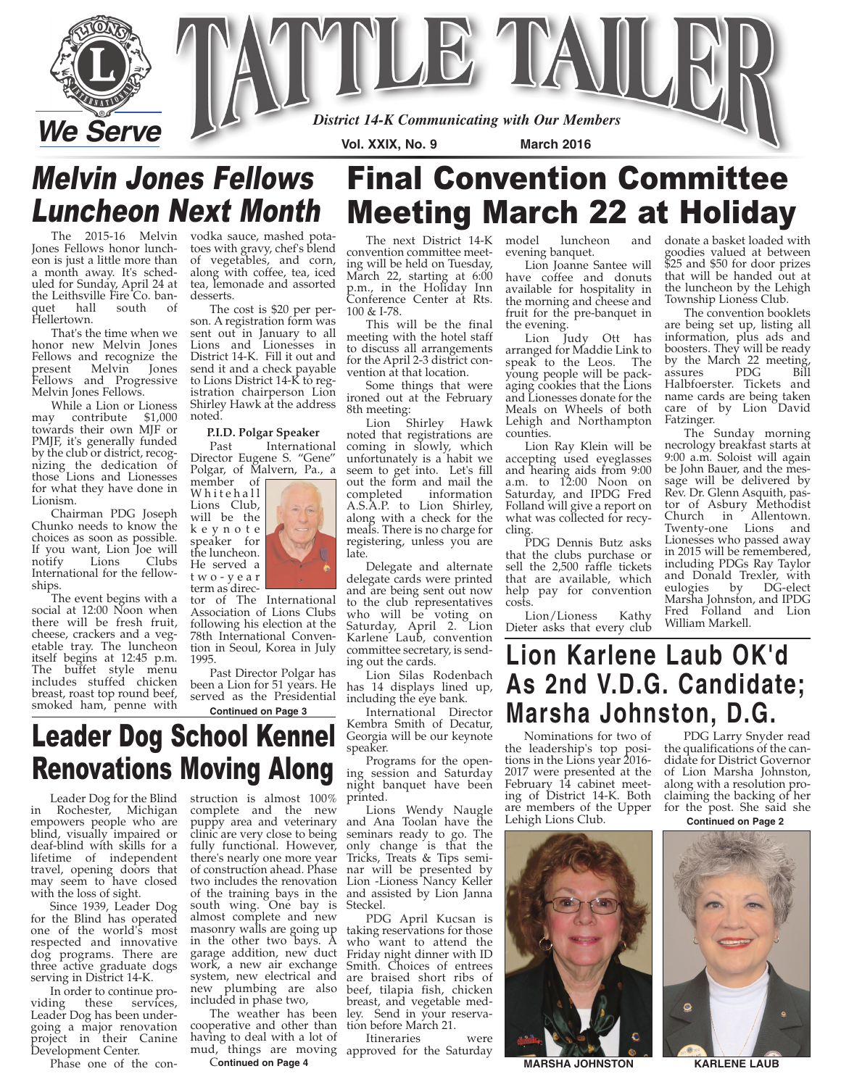

# Melvin Jones Fellows Luncheon Next Month

Jones Fellows honor luncheon is just a little more than a month away. It's scheduled for Sunday, April 24 at the Leithsville Fire Co. ban-<br>quet hall south of quet hall Hellertown.

That's the time when we honor new Melvin Jones Fellows and recognize the present Melvin Jones Fellows and Progressive Melvin Jones Fellows.

While a Lion or Lioness may contribute \$1,000 towards their own MJF or PMJF, it's generally funded by the club or district, recognizing the dedication of those Lions and Lionesses for what they have done in Lionism.

Chairman PDG Joseph Chunko needs to know the choices as soon as possible. If you want, Lion Joe will Lions International for the fellowships.

The event begins with a social at 12:00 Noon when there will be fresh fruit, cheese, crackers and a vegetable tray. The luncheon itself begins at 12:45 p.m. The buffet style menu includes stuffed chicken breast, roast top round beef, smoked ham, penne with

The 2015-16 Melvin vodka sauce, mashed potatoes with gravy, chef's blend of vegetables, and corn, along with coffee, tea, iced tea, lemonade and assorted desserts.

The cost is \$20 per person. A registration form was sent out in January to all Lions and Lionesses in District 14-K. Fill it out and send it and a check payable to Lions District 14-K to registration chairperson Lion Shirley Hawk at the address noted.

## **P.I.D. Polgar Speaker**

International Director Eugene S. "Gene" Polgar, of Malvern, Pa., a



tor of The International Association of Lions Clubs following his election at the 78th International Convention in Seoul, Korea in July 1995.

Past Director Polgar has been a Lion for 51 years. He served as the Presidential **Continued on Page 3**

The next District 14-K convention committee meeting will be held on Tuesday, March 22, starting at 6:00 p.m., in the Holiday Inn Conference Center at Rts. 100 & I-78.

This will be the final meeting with the hotel staff to discuss all arrangements for the April 2-3 district convention at that location.

Some things that were ironed out at the February 8th meeting:

Lion Shirley Hawk noted that registrations are coming in slowly, which unfortunately is a habit we seem to get into. Let's fill out the form and mail the completed information A.S.A.P. to Lion Shirley, along with a check for the meals. There is no charge for registering, unless you are late.

Delegate and alternate delegate cards were printed and are being sent out now to the club representatives who will be voting on Saturday, April 2. Lion Karlene Laub, convention committee secretary, is sending out the cards.

Lion Silas Rodenbach has 14 displays lined up, including the eye bank.

International Director Kembra Smith of Decatur, Georgia will be our keynote speaker.

Programs for the opening session and Saturday night banquet have been printed.

Lions Wendy Naugle and Ana Toolan have the seminars ready to go. The only change is that the Tricks, Treats & Tips seminar will be presented by Lion -Lioness Nancy Keller and assisted by Lion Janna Steckel.

PDG April Kucsan is taking reservations for those who want to attend the Friday night dinner with ID Smith. Choices of entrees are braised short ribs of beef, tilapia fish, chicken breast, and vegetable medley. Send in your reservation before March 21.

Itineraries were

luncheon and evening banquet.

Meeting March 22 at Holiday

Final Convention Committee

Lion Joanne Santee will have coffee and donuts available for hospitality in the morning and cheese and fruit for the pre-banquet in the evening.

Lion Judy Ott has arranged for Maddie Link to speak to the Leos. The young people will be packaging cookies that the Lions and Lionesses donate for the Meals on Wheels of both Lehigh and Northampton counties.

Lion Ray Klein will be accepting used eyeglasses and hearing aids from 9:00 a.m. to 12:00 Noon on Saturday, and IPDG Fred Folland will give a report on what was collected for recycling.

PDG Dennis Butz asks that the clubs purchase or sell the 2,500 raffle tickets that are available, which help pay for convention costs.

Lion/Lioness Kathy Dieter asks that every club donate a basket loaded with goodies valued at between \$25 and \$50 for door prizes that will be handed out at the luncheon by the Lehigh Township Lioness Club.

The convention booklets are being set up, listing all information, plus ads and boosters. They will be ready by the March 22 meeting,<br>assures PDG Bill  $PDG$ Halbfoerster. Tickets and name cards are being taken care of by Lion David Fatzinger.

The Sunday morning necrology breakfast starts at 9:00 a.m. Soloist will again be John Bauer, and the message will be delivered by Rev. Dr. Glenn Asquith, pastor of Asbury Methodist Church in Allentown. Twenty-one Lions and Lionesses who passed away in 2015 will be remembered, including PDGs Ray Taylor and Donald Trexler, with eulogies by DG-elect Marsha Johnston, and IPDG Fred Folland and Lion William Markell.

# **Lion Karlene Laub OK'd As 2nd V.D.G. Candidate; Marsha Johnston, D.G.**

Nominations for two of the leadership's top positions in the Lions year 2016- 2017 were presented at the February 14 cabinet meeting of District 14-K. Both are members of the Upper Lehigh Lions Club.



**MARSHA JOHNSTON KARLENE LAUB**

PDG Larry Snyder read the qualifications of the candidate for District Governor of Lion Marsha Johnston, along with a resolution proclaiming the backing of her for the post. She said she





# Leader Dog School Kennel Renovations Moving Along

Leader Dog for the Blind in Rochester, Michigan empowers people who are blind, visually impaired or deaf-blind with skills for a lifetime of independent travel, opening doors that may seem to have closed with the loss of sight.

Since 1939, Leader Dog for the Blind has operated one of the world's most respected and innovative dog programs. There are three active graduate dogs serving in District 14-K.

In order to continue providing these services, Leader Dog has been undergoing a major renovation project in their Canine Development Center.

Phase one of the con-

struction is almost 100% complete and the new puppy area and veterinary clinic are very close to being fully functional. However, there's nearly one more year of construction ahead. Phase two includes the renovation of the training bays in the south wing. One bay is almost complete and new masonry walls are going up in the other two bays. A garage addition, new duct work, a new air exchange system, new electrical and new plumbing are also included in phase two,

mud, things are moving approved for the Saturday The weather has been cooperative and other than having to deal with a lot of

### C**ontinued on Page 4**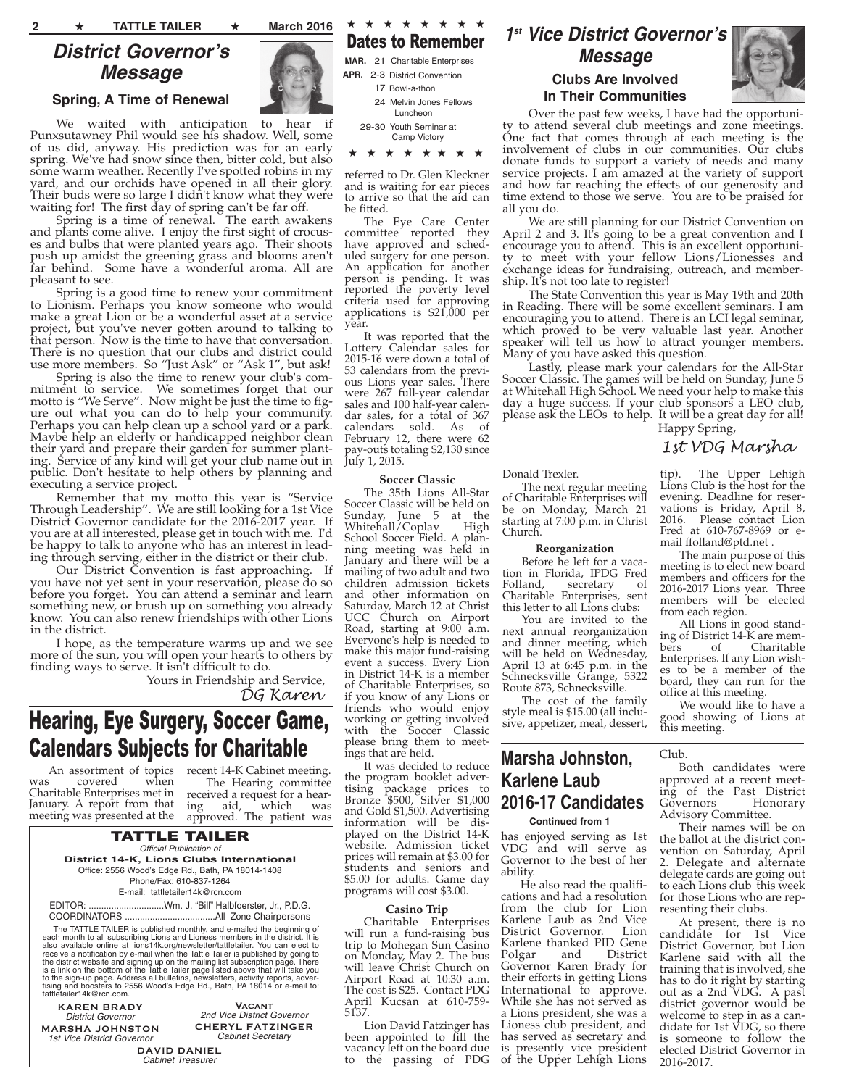## **District Governor's Message**

### **Spring, A Time of Renewal**

We waited with anticipation to hear if Punxsutawney Phil would see his shadow. Well, some of us did, anyway. His prediction was for an early spring. We've had snow since then, bitter cold, but also some warm weather. Recently I've spotted robins in my yard, and our orchids have opened in all their glory. Their buds were so large I didn't know what they were waiting for! The first day of spring can't be far off.

Spring is a time of renewal. The earth awakens and plants come alive. I enjoy the first sight of crocuses and bulbs that were planted years ago. Their shoots push up amidst the greening grass and blooms aren't far behind. Some have a wonderful aroma. All are pleasant to see.

Spring is a good time to renew your commitment to Lionism. Perhaps you know someone who would make a great Lion or be a wonderful asset at a service project, but you've never gotten around to talking to that person. Now is the time to have that conversation. There is no question that our clubs and district could use more members. So "Just Ask" or "Ask 1", but ask!

Spring is also the time to renew your club's commitment to service. We sometimes forget that our motto is "We Serve". Now might be just the time to figure out what you can do to help your community. Perhaps you can help clean up a school yard or a park. Maybe help an elderly or handicapped neighbor clean their yard and prepare their garden for summer planting. Service of any kind will get your club name out in public. Don't hesitate to help others by planning and executing a service project.

Remember that my motto this year is "Service Through Leadership". We are still looking for a 1st Vice District Governor candidate for the 2016-2017 year. If you are at all interested, please get in touch with me. I'd be happy to talk to anyone who has an interest in leading through serving, either in the district or their club.

Our District Convention is fast approaching. If you have not yet sent in your reservation, please do so before you forget. You can attend a seminar and learn something new, or brush up on something you already know. You can also renew friendships with other Lions in the district.

I hope, as the temperature warms up and we see more of the sun, you will open your hearts to others by finding ways to serve. It isn't difficult to do.

Yours in Friendship and Service, *DG Karen*

# Hearing, Eye Surgery, Soccer Game, **Calendars Subjects for Charitable** subsets the please bring them to meet-<br>Marsha Johnston,

was covered when Charitable Enterprises met in January. A report from that meeting was presented at the

An assortment of topics recent 14-K Cabinet meeting. The Hearing committee received a request for a hearing aid, which was approved. The patient was

#### TATTLE TAILER Official Publication of **District 14-K, Lions Clubs International** Office: 2556 Wood's Edge Rd., Bath, PA 18014-1408 Phone/Fax: 610-837-1264 E-mail: tattletailer14k@rcn.com

EDITOR: ..............................Wm. J. "Bill" Halbfoerster, Jr., P.D.G. COORDINATORS ....................................All Zone Chairpersons

The TATTLE TAILER is published monthly, and e-mailed the beginning of<br>each month to all subscribing Lions and Lioness members in the district. It is<br>also available online at lions14k.org/newsletter/tattletailer. You can el the district website and signing up on the mailing list subscription page. There<br>is a link on the bottom of the Tattle Tailer page listed above that will take you<br>to the sign-up page. Address all bulletins, newsletters, ac tattletailer14k@rcn.com.

**KAREN BRADY** District Governor **MARSHA JOHNSTON** 1st Vice District Governor

**Vacant** 2nd Vice District Governor **CHERYL FATZINGER** Cabinet Secretary

**DAVID DANIEL** Cabinet Treasurer

★ ★ ★ ★ ★ ★ ★ ★ Dates to Remember

MAR. 21 Charitable Enterprises APR. 2-3 District Convention 17 Bowl-a-thon

> 24 Melvin Jones Fellows Luncheon

29-30 Youth Seminar at Camp Victory

#### ★ ★ ★ ★ ★ ★ ★ ★

referred to Dr. Glen Kleckner and is waiting for ear pieces to arrive so that the aid can be fitted.

The Eye Care Center committee reported they have approved and scheduled surgery for one person. An application for another person is pending. It was reported the poverty level criteria used for approving applications is  $$21,000$  per year.

It was reported that the Lottery Calendar sales for 2015-16 were down a total of 53 calendars from the previous Lions year sales. There were 267 full-year calendar sales and 100 half-year calendar sales, for a total of 367 calendars sold. As of February 12, there were 62 pay-outs totaling \$2,130 since July 1, 2015.

#### **Soccer Classic**

The 35th Lions All-Star Soccer Classic will be held on Sunday, June 5 at the Whitehall/Coplay High whitehall/Coplay School Soccer Field. A planning meeting was held in January and there will be a mailing of two adult and two children admission tickets and other information on Saturday, March 12 at Christ UCC Church on Airport Road, starting at 9:00 a.m. Everyone's help is needed to make this major fund-raising event a success. Every Lion in District 14-K is a member of Charitable Enterprises, so if you know of any Lions or friends who would enjoy working or getting involved with the Soccer Classic please bring them to meetings that are held.

It was decided to reduce the program booklet advertising package prices to Bronze \$500, Silver \$1,000 and Gold \$1,500. Advertising information will be displayed on the District 14-K website. Admission ticket prices will remain at \$3.00 for students and seniors and \$5.00 for adults. Game day programs will cost \$3.00.

#### **Casino Trip**

Charitable Enterprises will run a fund-raising bus trip to Mohegan Sun Casino on Monday, May 2. The bus will leave Christ Church on Airport Road at 10:30 a.m. The cost is \$25. Contact PDG April Kucsan at 610-759- 5137.

Lion David Fatzinger has been appointed to fill the vacancy left on the board due to the passing of PDG

### **1 st Vice District Governor's Message**

### **Clubs Are Involved In Their Communities**



Over the past few weeks, I have had the opportunity to attend several club meetings and zone meetings. One fact that comes through at each meeting is the involvement of clubs in our communities. Our clubs donate funds to support a variety of needs and many service projects. I am amazed at the variety of support and how far reaching the effects of our generosity and time extend to those we serve. You are to be praised for all you do.

We are still planning for our District Convention on April 2 and 3. It's going to be a great convention and I encourage you to attend. This is an excellent opportunity to meet with your fellow Lions/Lionesses and exchange ideas for fundraising, outreach, and membership. It's not too late to register!

The State Convention this year is May 19th and 20th in Reading. There will be some excellent seminars. I am encouraging you to attend. There is an LCI legal seminar, which proved to be very valuable last year. Another speaker will tell us how to attract younger members. Many of you have asked this question.

Lastly, please mark your calendars for the All-Star Soccer Classic. The games will be held on Sunday, June 5 at Whitehall High School. We need your help to make this day a huge success. If your club sponsors a LEO club, please ask the LEOs to help. It will be a great day for all! Happy Spring,

### *1st VDG Marsha*

#### Donald Trexler.

The next regular meeting of Charitable Enterprises will be on Monday, March 21 starting at 7:00 p.m. in Christ Church.

#### **Reorganization**

Before he left for a vacation in Florida, IPDG Fred Folland, secretary of Charitable Enterprises, sent this letter to all Lions clubs:

You are invited to the next annual reorganization and dinner meeting, which will be held on Wednesday, April 13 at 6:45 p.m. in the Schnecksville Grange, 5322 Route 873, Schnecksville.

The cost of the family style meal is \$15.00 (all inclusive, appetizer, meal, dessert,

## **Karlene Laub 2016-17 Candidates Continued from 1**

has enjoyed serving as 1st VDG and will serve as Governor to the best of her ability.

He also read the qualifications and had a resolution from the club for Lion Karlene Laub as 2nd Vice District Governor. Karlene thanked PID Gene<br>Polgar and District Polgar Governor Karen Brady for their efforts in getting Lions International to approve. While she has not served as a Lions president, she was a Lioness club president, and has served as secretary and is presently vice president of the Upper Lehigh Lions tip). The Upper Lehigh Lions Club is the host for the evening. Deadline for reservations is Friday, April 8, 2016. Please contact Lion Fred at 610-767-8969 or email ffolland@ptd.net .

The main purpose of this meeting is to elect new board members and officers for the 2016-2017 Lions year. Three members will be elected from each region.

All Lions in good standing of District 14-K are members of Charitable Enterprises. If any Lion wishes to be a member of the board, they can run for the office at this meeting.

We would like to have a good showing of Lions at this meeting.

#### Club.

Both candidates were approved at a recent meeting of the Past District<br>Governors Honorary Governors Advisory Committee.

Their names will be on the ballot at the district convention on Saturday, April 2. Delegate and alternate delegate cards are going out to each Lions club this week for those Lions who are representing their clubs.

At present, there is no<br>didate for 1st Vice candidate for 1st District Governor, but Lion Karlene said with all the training that is involved, she has to do it right by starting out as a 2nd VDG. A past district governor would be welcome to step in as a candidate for 1st VDG, so there is someone to follow the elected District Governor in 2016-2017.

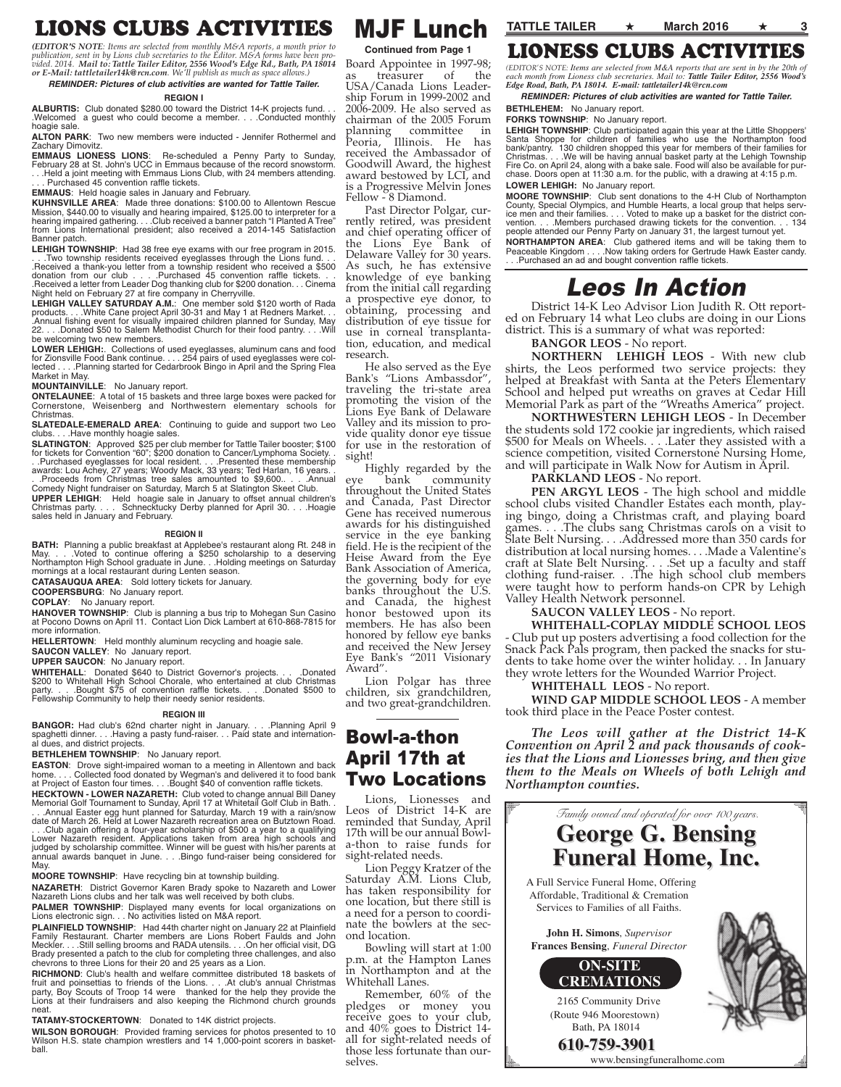## LIONS CLUBS ACTIVITIES

*(EDITOR'S NOTE: Items are selected from monthly M&A reports, a month prior to* publication, sent in by Lions club secretaries to the Editor. M&A forms have been pro-<br>vided. 2014. Mail to: Tattle Tailer Editor, 2556 Wood's Edge Rd., Bath, PA 18014<br>or E-Mail: tattletailer14k@rcn.com. We'll publish as m

#### **REMINDER: Pictures of club activities are wanted for Tattle Tailer.**

#### **REGION I**

ALBURTIS: Club donated \$280.00 toward the District 14-K projects fund. .Welcomed a guest who could become a member. . . .Conducted monthly hoagie sale.

**ALTON PARK**: Two new members were inducted - Jennifer Rothermel and Zachary Dimovitz.

**EMMAUS LIONESS LIONS:** Re-scheduled a Penny Party to Sunday,<br>February 28 at St. John's UCC in Emmaus because of the record snowstorm. . . .Held a joint meeting with Emmaus Lions Club, with 24 members attending. . . . Purchased 45 convention raffle tickets.

**EMMAUS**: Held hoagie sales in January and February.

**KUHNSVILLE AREA**: Made three donations: \$100.00 to Allentown Rescue Mission, \$440.00 to visually and hearing impaired, \$125.00 to interpreter for a<br>hearing impaired gathering. . . .Club received a banner patch "I Planted A Tree"<br>from Lions International president; also received a 201 Banner patch.

**LEHIGH TOWNSHIP**: Had 38 free eye exams with our free program in 2015.<br>
... Two township residents received eyeglasses through the Lions fund.<br>
..Received a thank-you letter from a township resident who received a \$500<br>
d

LEHIGH VALLEY SATURDAY A.M.: One member sold \$120 worth of Rada<br>products.... White Cane project April 30-31 and May 1 at Redners Market...<br>.Annual fishing event for visually impaired children planned for Sunday, May<br>22.... be welcoming two new members.

**LOWER LEHIGH:**. Collections of used eyeglasses, aluminum cans and food<br>for Zionsville Food Bank continue. . . 254 pairs of used eyeglasses were col-<br>lected . . . .Planning started for Cedarbrook Bingo in April and the Sp Market in May.

**MOUNTAINVILLE**: No January report.

**ONTELAUNEE**: A total of 15 baskets and three large boxes were packed for Cornerstone, Weisenberg and Northwestern elementary schools for Christmas.

**SLATEDALE-EMERALD AREA:** Continuing to guide and support two Leo clubs Have monthly hoarie sales . . Have monthly hoagie sales.

**SLATINGTON**: Approved \$25 per club member for Tattle Tailer booster; \$100 for tickets for Convention "60"; \$200 donation to Cancer/Lymphoma Society. . . .Purchased eyeglasses for local resident. . . .Presented these membership awards: Lou Achey, 27 years; Woody Mack, 33 years; Ted Harlan, 16 years. .

. .Proceeds from Christmas tree sales amounted to \$9,600.. . . .Annual Comedy Night fundraiser on Saturday, March 5 at Slatington Skeet Club.

**UPPER LEHIGH**: Held hoagie sale in January to offset annual children's Christmas party. . . . Schnecktucky Derby planned for April 30. . . .Hoagie sales held in January and February.

#### **REGION II**

**BATH:** Planning a public breakfast at Applebee's restaurant along Rt. 248 in May. . . . Voted to continue offering a \$250 scholarship to a deserving May. . . .Voted to continue offering a \$250 scholarship to a deserving Northampton High School graduate in June. . .Holding meetings on Saturday mornings at a local restaurant during Lenten season.

**CATASAUQUA AREA**: Sold lottery tickets for January.

**COOPERSBURG**: No January report.

**COPLAY**: No January report.<br>**HANOVER TOWNSHIP**: Club is planning a bus trip to Mohegan Sun Casino<br>at Pocono Downs on April 11. Contact Lion Dick Lambert at 610-868-7815 for more information.

**HELLERTOWN**: Held monthly aluminum recycling and hoagie sale.

**SAUCON VALLEY**: No January report.

**UPPER SAUCON**: No January report.

**WHITEHALL**: Donated \$640 to District Governor's projects. . . .Donated<br>\$200 to Whitehall High School Chorale, who entertained at club Christmas<br>party. . . .Bought \$75 of convention raffle tickets. . . .Donated \$500 to Fellowship Community to help their needy senior residents.

#### **REGION III**

**BANGOR:** Had club's 62nd charter night in January. . . . Planning April 9 spaghetti dinner. . . .Having a pasty fund-raiser. . . Paid state and internation-al dues, and district projects.

**BETHLEHEM TOWNSHIP**: No January report.

**EASTON**: Drove sight-impaired woman to a meeting in Allentown and back<br>home.... Collected food donated by Wegman's and delivered it to food bank<br>at Project of Easton four times....Bought \$40 of convention raffle tickets.

**HECKTOWN - LOWER NAZARETH:** Club voted to change annual Bill Daney<br>Memorial Golf Tournament to Sunday, April 17 at Whitetail Golf Club in Bath.<br>. . .Annual Easter egg hunt planned for Saturday, March 19 with a rain/snow

date of March 26. Held at Lower Nazareth recreation area on Butztown Road. . . .Club again offering a four-year scholarship of \$500 a year to a qualifying Lower Nazareth resident. Applications taken from area high schools and judged by scholarship committee. Winner will be guest with his/her parents at annual awards banquet in June. . . .Bingo fund-raiser being considered for **May** 

**MOORE TOWNSHIP**: Have recycling bin at township building.

**NAZARETH**: District Governor Karen Brady spoke to Nazareth and Lower Nazareth Lions clubs and her talk was well received by both clubs.

**PALMER TOWNSHIP**: Displayed many events for local organizations on Lions electronic sign. . . No activities listed on M&A report.

**PLAINFIELD TOWNSHIP**: Had 44th charter night on January 22 at Plainfield Family Restaurant. Charter members are Lions Robert Faulds and John Meckler. . . .Still selling brooms and RADA utensils. . . .On her official visit, DG Brady presented a patch to the club for completing three challenges, and also chevrons to three Lions for their 20 and 25 years as a Lion.

**RICHMOND:** Club's health and welfare committee distributed 18 baskets of<br>fruit and poinsettias to friends of the Lions. . . .At club's annual Christmas<br>party, Boy Scouts of Troop 14 were thanked for the help they provide neat.

**TATAMY-STOCKERTOWN**: Donated to 14K district projects.

**WILSON BOROUGH**: Provided framing services for photos presented to 10 Wilson H.S. state champion wrestlers and 14 1,000-point scorers in basketball.

### MJF Lunch **TATTLE TAILER** ★ **March 2016** ★ **<sup>3</sup>**

**Continued from Page 1**

Board Appointee in 1997-98; treasurer of USA/Canada Lions Leadership Forum in 1999-2002 and 2006-2009. He also served as chairman of the 2005 Forum planning committee in Peoria, Illinois. He has received the Ambassador of Goodwill Award, the highest award bestowed by LCI, and is a Progressive Melvin Jones

Fellow - 8 Diamond.

Past Director Polgar, currently retired, was president and chief operating officer of the Lions Eye Bank of Delaware Valley for 30 years. As such, he has extensive knowledge of eye banking from the initial call regarding a prospective eye donor, to obtaining, processing and distribution of eye tissue for use in corneal transplantation, education, and medical research.

He also served as the Eye Bank's "Lions Ambassdor", traveling the tri-state area promoting the vision of the Lions Eye Bank of Delaware Valley and its mission to provide quality donor eye tissue for use in the restoration of sight!

Highly regarded by the<br>bank community eye bank community throughout the United States and Canada, Past Director Gene has received numerous awards for his distinguished service in the eye banking field. He is the recipient of the Heise Award from the Eye Bank Association of America, the governing body for eye banks throughout the U.S. and Canada, the highest honor bestowed upon its members. He has also been honored by fellow eye banks and received the New Jersey Eye Bank's "2011 Visionary Award".

Lion Polgar has three children, six grandchildren, and two great-grandchildren.

### Bowl-a-thon April 17th at Two Locations

Lions, Lionesses and Leos of District 14-K are reminded that Sunday, April 17th will be our annual Bowla-thon to raise funds for sight-related needs.

Lion Peggy Kratzer of the Saturday A.M. Lions Club, has taken responsibility for one location, but there still is a need for a person to coordinate the bowlers at the second location.

Bowling will start at 1:00 p.m. at the Hampton Lanes in Northampton and at the Whitehall Lanes.

Remember, 60% of the<br>dges or money you pledges or money receive goes to your club, and 40% goes to District 14 all for sight-related needs of those less fortunate than ourselves.

## LIONESS CLUBS ACTIVITIES

*(EDITOR'S NOTE: Items are selected from M&A reports that are sent in by the 20th of each month from Lioness club secretaries. Mail to: Tattle Tailer Editor, 2556 Wood's Edge Road, Bath, PA 18014. E-mail: tattletailer14k@rcn.com*

**REMINDER: Pictures of club activities are wanted for Tattle Tailer. BETHLEHEM:** No January report.

#### **FORKS TOWNSHIP:** No January report.

LEHIGH TOWNSHIP: Club participated again this year at the Little Shoppers'<br>Santa Shoppe for children of families who use the Northampton food<br>bank/pantry. 130 children shopped this year for members of their families for<br>Ch Fire Co. on April 24, along with a bake sale. Food will also be available for pur-chase. Doors open at 11:30 a.m. for the public, with a drawing at 4:15 p.m. **LOWER LEHIGH:** No January report.

**MOORE TOWNSHIP**: Club sent donations to the 4-H Club of Northampton County, Special Olympics, and Humble Hearts, a local group that helps serv-<br>ice men and their families. . . . Voted to make up a basket for the district con-<br>vention. . . . Members purchased drawing tickets for the convent

**NORTHAMPTON AREA**: Club gathered items and will be taking them to<br>Peaceable Kingdom . . . .Now taking orders for Gertrude Hawk Easter candy.<br>. . .Purchased an ad and bought convention raffle tickets.

## Leos In Action

District 14-K Leo Advisor Lion Judith R. Ott reported on February 14 what Leo clubs are doing in our Lions district. This is a summary of what was reported:

### **BANGOR LEOS** - No report.

**NORTHERN LEHIGH LEOS** - With new club shirts, the Leos performed two service projects: they helped at Breakfast with Santa at the Peters Elementary School and helped put wreaths on graves at Cedar Hill Memorial Park as part of the "Wreaths America" project.

**NORTHWESTERN LEHIGH LEOS** - In December the students sold 172 cookie jar ingredients, which raised \$500 for Meals on Wheels. . . .Later they assisted with a science competition, visited Cornerstone Nursing Home, and will participate in Walk Now for Autism in April.

**PARKLAND LEOS** - No report.

**PEN ARGYL LEOS** - The high school and middle school clubs visited Chandler Estates each month, playing bingo, doing a Christmas craft, and playing board games. . . .The clubs sang Christmas carols on a visit to Slate Belt Nursing. . . .Addressed more than 350 cards for distribution at local nursing homes. . . .Made a Valentine's craft at Slate Belt Nursing. . . .Set up a faculty and staff clothing fund-raiser. . .The high school club members were taught how to perform hands-on CPR by Lehigh Valley Health Network personnel.

#### **SAUCON VALLEY LEOS** - No report.

**WHITEHALL-COPLAY MIDDLE SCHOOL LEOS** - Club put up posters advertising a food collection for the Snack Pack Pals program, then packed the snacks for students to take home over the winter holiday. . . In January they wrote letters for the Wounded Warrior Project.

#### **WHITEHALL LEOS** - No report.

**WIND GAP MIDDLE SCHOOL LEOS** - A member took third place in the Peace Poster contest.

*The Leos will gather at the District 14-K Convention on April 2 and pack thousands of cookies that the Lions and Lionesses bring, and then give them to the Meals on Wheels of both Lehigh and Northampton counties.*